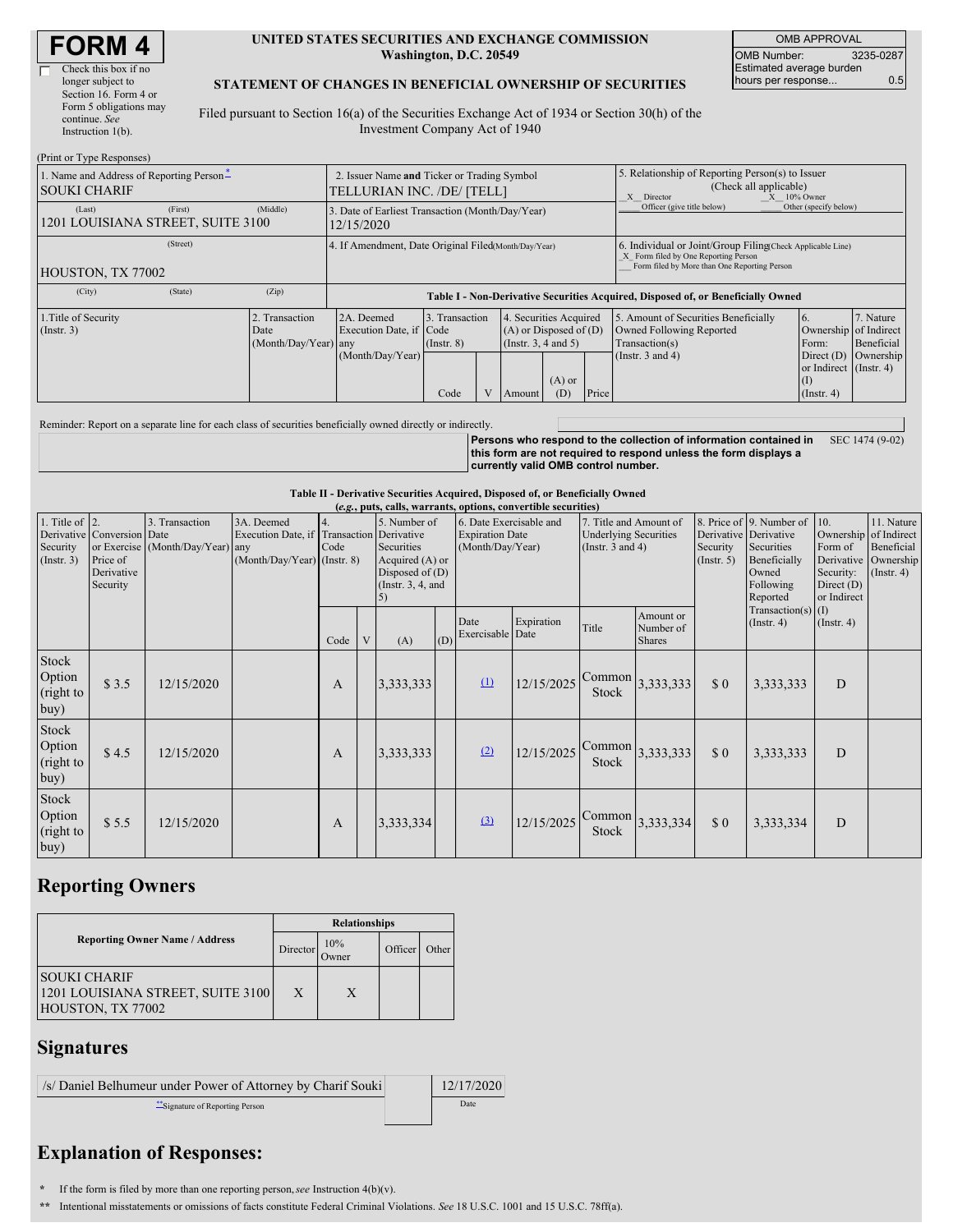| <b>FORM4</b> |
|--------------|
|--------------|

#### **UNITED STATES SECURITIES AND EXCHANGE COMMISSION Washington, D.C. 20549**

OMB APPROVAL OMB Number: 3235-0287 Estimated average burden hours per response... 0.5

#### **STATEMENT OF CHANGES IN BENEFICIAL OWNERSHIP OF SECURITIES**

Filed pursuant to Section 16(a) of the Securities Exchange Act of 1934 or Section 30(h) of the Investment Company Act of 1940

| (Print or Type Responses)                                       |                                                                                                                                                                                                              |                                                       |                                                                                  |                                                                                    |                                       |                         |                 |                                                                                                                                                    |                                                                                                              |                                                           |                      |  |
|-----------------------------------------------------------------|--------------------------------------------------------------------------------------------------------------------------------------------------------------------------------------------------------------|-------------------------------------------------------|----------------------------------------------------------------------------------|------------------------------------------------------------------------------------|---------------------------------------|-------------------------|-----------------|----------------------------------------------------------------------------------------------------------------------------------------------------|--------------------------------------------------------------------------------------------------------------|-----------------------------------------------------------|----------------------|--|
| 1. Name and Address of Reporting Person-<br><b>SOUKI CHARIF</b> |                                                                                                                                                                                                              |                                                       | 2. Issuer Name and Ticker or Trading Symbol<br>TELLURIAN INC. /DE/ [TELL]        |                                                                                    |                                       |                         |                 |                                                                                                                                                    | 5. Relationship of Reporting Person(s) to Issuer<br>(Check all applicable)<br>$X = 10\%$ Owner<br>X Director |                                                           |                      |  |
| (Last)<br>1201 LOUISIANA STREET, SUITE 3100                     | (First)                                                                                                                                                                                                      | (Middle)                                              | 3. Date of Earliest Transaction (Month/Day/Year)<br>12/15/2020                   |                                                                                    |                                       |                         |                 |                                                                                                                                                    | Officer (give title below)                                                                                   | Other (specify below)                                     |                      |  |
| HOUSTON, TX 77002                                               |                                                                                                                                                                                                              | 4. If Amendment, Date Original Filed (Month/Day/Year) |                                                                                  |                                                                                    |                                       |                         |                 | 6. Individual or Joint/Group Filing Check Applicable Line)<br>X Form filed by One Reporting Person<br>Form filed by More than One Reporting Person |                                                                                                              |                                                           |                      |  |
|                                                                 |                                                                                                                                                                                                              |                                                       |                                                                                  |                                                                                    |                                       |                         |                 |                                                                                                                                                    |                                                                                                              |                                                           |                      |  |
| (City)                                                          | (State)                                                                                                                                                                                                      | (Zip)                                                 | Table I - Non-Derivative Securities Acquired, Disposed of, or Beneficially Owned |                                                                                    |                                       |                         |                 |                                                                                                                                                    |                                                                                                              |                                                           |                      |  |
| 1. Title of Security<br>$($ Instr. 3 $)$                        | 2. Transaction<br>2A. Deemed<br>3. Transaction<br>4. Securities Acquired<br>Execution Date, if Code<br>$(A)$ or Disposed of $(D)$<br>Date<br>(Month/Day/Year) any<br>(Insert. 3, 4 and 5)<br>$($ Instr. $8)$ |                                                       |                                                                                  | 5. Amount of Securities Beneficially<br>Owned Following Reported<br>Transaction(s) | 16.<br>Ownership of Indirect<br>Form: | 7. Nature<br>Beneficial |                 |                                                                                                                                                    |                                                                                                              |                                                           |                      |  |
|                                                                 |                                                                                                                                                                                                              |                                                       | (Month/Day/Year)                                                                 | Code                                                                               |                                       | Amount                  | $(A)$ or<br>(D) | Price                                                                                                                                              | (Instr. $3$ and $4$ )                                                                                        | or Indirect (Instr. 4)<br>$\vert$ (I)<br>$($ Instr. 4 $)$ | Direct (D) Ownership |  |

Reminder: Report on a separate line for each class of securities beneficially owned directly or indirectly.

**Persons who respond to the collection of information contained in this form are not required to respond unless the form displays a currently valid OMB control number.** SEC 1474 (9-02)

**Table II - Derivative Securities Acquired, Disposed of, or Beneficially Owned**

|                                                        | (e.g., puts, calls, warrants, options, convertible securities)   |                                                    |                                                                                        |              |              |                                                                                                                                                                             |     |                                                                                 |            |                                                                                                                      |                                         |                                                                                                   |                                                           |                  |  |
|--------------------------------------------------------|------------------------------------------------------------------|----------------------------------------------------|----------------------------------------------------------------------------------------|--------------|--------------|-----------------------------------------------------------------------------------------------------------------------------------------------------------------------------|-----|---------------------------------------------------------------------------------|------------|----------------------------------------------------------------------------------------------------------------------|-----------------------------------------|---------------------------------------------------------------------------------------------------|-----------------------------------------------------------|------------------|--|
| 1. Title of $\vert$ 2.<br>Security<br>$($ Instr. 3 $)$ | Derivative Conversion Date<br>Price of<br>Derivative<br>Security | 3. Transaction<br>or Exercise (Month/Day/Year) any | 3A. Deemed<br>Execution Date, if Transaction Derivative<br>(Month/Day/Year) (Instr. 8) | 4.<br>Code   |              | 5. Number of<br>6. Date Exercisable and<br><b>Expiration Date</b><br>(Month/Day/Year)<br>Securities<br>Acquired $(A)$ or<br>Disposed of $(D)$<br>(Instr. $3, 4$ , and<br>5) |     | 7. Title and Amount of<br><b>Underlying Securities</b><br>(Instr. $3$ and $4$ ) |            | 8. Price of 9. Number of<br>Derivative Derivative<br>Securities<br>Security<br>$($ Instr. 5 $)$<br>Owned<br>Reported | Beneficially<br>Following               | 10.<br>Ownership of Indirect<br>Form of<br>Derivative<br>Security:<br>Direct $(D)$<br>or Indirect | 11. Nature<br>Beneficial<br>Ownership<br>$($ Instr. 4 $)$ |                  |  |
|                                                        |                                                                  |                                                    |                                                                                        | Code         | $\mathbf{V}$ | (A)                                                                                                                                                                         | (D) | Date<br>Exercisable Date                                                        | Expiration | Title                                                                                                                | Amount or<br>Number of<br><b>Shares</b> |                                                                                                   | Transaction(s) $(I)$<br>$($ Instr. 4 $)$                  | $($ Instr. 4 $)$ |  |
| Stock<br>Option<br>(right to<br>buy)                   | \$3.5                                                            | 12/15/2020                                         |                                                                                        | $\mathbf{A}$ |              | 3,333,333                                                                                                                                                                   |     | $\Omega$                                                                        | 12/15/2025 | Common<br>Stock                                                                                                      | 3,333,333                               | \$0                                                                                               | 3,333,333                                                 | D                |  |
| <b>Stock</b><br>Option<br>(right to<br>buy)            | \$4.5                                                            | 12/15/2020                                         |                                                                                        | $\mathbf{A}$ |              | 3,333,333                                                                                                                                                                   |     | (2)                                                                             | 12/15/2025 | Stock                                                                                                                | $\lfloor$ Common $\rfloor$ 3,333,333    | \$0                                                                                               | 3,333,333                                                 | D                |  |
| Stock<br>Option<br>(right to<br>buy)                   | \$5.5                                                            | 12/15/2020                                         |                                                                                        | A            |              | 3,333,334                                                                                                                                                                   |     | (3)                                                                             | 12/15/2025 | Stock                                                                                                                | $\lfloor$ Common $\rfloor$ 3,333,334    | \$0                                                                                               | 3,333,334                                                 | D                |  |

### **Reporting Owners**

|                                                                               | <b>Relationships</b>     |   |         |       |  |  |  |
|-------------------------------------------------------------------------------|--------------------------|---|---------|-------|--|--|--|
| <b>Reporting Owner Name / Address</b>                                         | 10%<br>Director<br>Owner |   | Officer | Other |  |  |  |
| <b>SOUKI CHARIF</b><br>1201 LOUISIANA STREET, SUITE 3100<br>HOUSTON, TX 77002 | X                        | X |         |       |  |  |  |

## **Signatures**

| /s/ Daniel Belhumeur under Power of Attorney by Charif Souki | 12/17/2020 |
|--------------------------------------------------------------|------------|
| Signature of Reporting Person                                | Date       |

# **Explanation of Responses:**

**\*** If the form is filed by more than one reporting person,*see* Instruction 4(b)(v).

**\*\*** Intentional misstatements or omissions of facts constitute Federal Criminal Violations. *See* 18 U.S.C. 1001 and 15 U.S.C. 78ff(a).